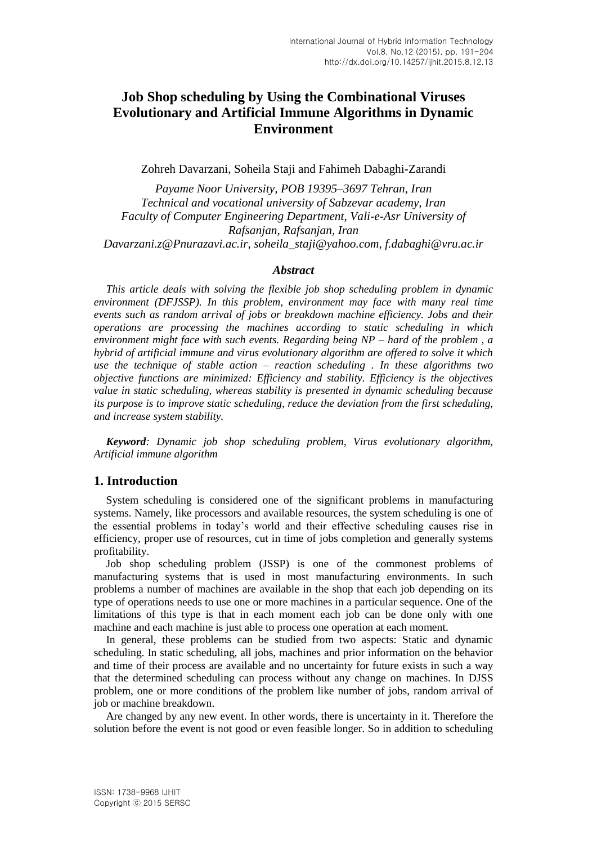# **Job Shop scheduling by Using the Combinational Viruses Evolutionary and Artificial Immune Algorithms in Dynamic Environment**

Zohreh Davarzani, Soheila Staji and Fahimeh Dabaghi-Zarandi

*Payame Noor University, POB 19395–3697 Tehran, Iran Technical and vocational university of Sabzevar academy, Iran Faculty of Computer Engineering Department, Vali-e-Asr University of Rafsanjan, Rafsanjan, Iran Davarzani.z@Pnurazavi.ac.ir, soheila\_staji@yahoo.com, f.dabaghi@vru.ac.ir*

#### *Abstract*

*This article deals with solving the flexible job shop scheduling problem in dynamic environment (DFJSSP). In this problem, environment may face with many real time events such as random arrival of jobs or breakdown machine efficiency. Jobs and their operations are processing the machines according to static scheduling in which environment might face with such events. Regarding being NP – hard of the problem , a hybrid of artificial immune and virus evolutionary algorithm are offered to solve it which use the technique of stable action – reaction scheduling . In these algorithms two objective functions are minimized: Efficiency and stability. Efficiency is the objectives value in static scheduling, whereas stability is presented in dynamic scheduling because its purpose is to improve static scheduling, reduce the deviation from the first scheduling, and increase system stability.*

*Keyword: Dynamic job shop scheduling problem, Virus evolutionary algorithm, Artificial immune algorithm*

## **1. Introduction**

System scheduling is considered one of the significant problems in manufacturing systems. Namely, like processors and available resources, the system scheduling is one of the essential problems in today's world and their effective scheduling causes rise in efficiency, proper use of resources, cut in time of jobs completion and generally systems profitability.

Job shop scheduling problem (JSSP) is one of the commonest problems of manufacturing systems that is used in most manufacturing environments. In such problems a number of machines are available in the shop that each job depending on its type of operations needs to use one or more machines in a particular sequence. One of the limitations of this type is that in each moment each job can be done only with one machine and each machine is just able to process one operation at each moment.

In general, these problems can be studied from two aspects: Static and dynamic scheduling. In static scheduling, all jobs, machines and prior information on the behavior and time of their process are available and no uncertainty for future exists in such a way that the determined scheduling can process without any change on machines. In DJSS problem, one or more conditions of the problem like number of jobs, random arrival of job or machine breakdown.

Are changed by any new event. In other words, there is uncertainty in it. Therefore the solution before the event is not good or even feasible longer. So in addition to scheduling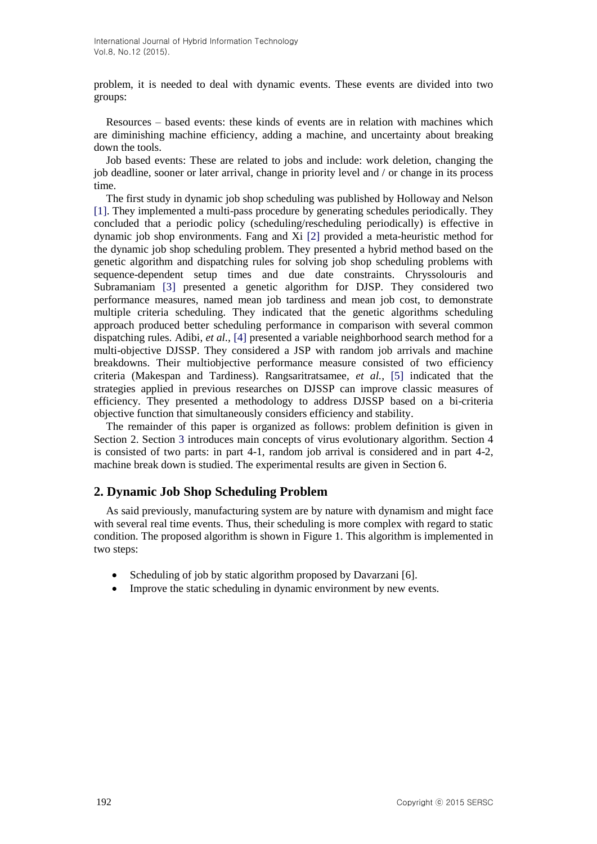problem, it is needed to deal with dynamic events. These events are divided into two groups:

Resources – based events: these kinds of events are in relation with machines which are diminishing machine efficiency, adding a machine, and uncertainty about breaking down the tools.

Job based events: These are related to jobs and include: work deletion, changing the job deadline, sooner or later arrival, change in priority level and / or change in its process time.

The first study in dynamic job shop scheduling was published by Holloway and Nelson [1]. They implemented a multi-pass procedure by generating schedules periodically. They concluded that a periodic policy (scheduling/rescheduling periodically) is effective in dynamic job shop environments. Fang and Xi [2] provided a meta-heuristic method for the dynamic job shop scheduling problem. They presented a hybrid method based on the genetic algorithm and dispatching rules for solving job shop scheduling problems with sequence-dependent setup times and due date constraints. Chryssolouris and Subramaniam [3] presented a genetic algorithm for DJSP. They considered two performance measures, named mean job tardiness and mean job cost, to demonstrate multiple criteria scheduling. They indicated that the genetic algorithms scheduling approach produced better scheduling performance in comparison with several common dispatching rules. Adibi, *et al.,* [4] presented a variable neighborhood search method for a multi-objective DJSSP. They considered a JSP with random job arrivals and machine breakdowns. Their multiobjective performance measure consisted of two efficiency criteria (Makespan and Tardiness). Rangsaritratsamee, *et al.,* [5] indicated that the strategies applied in previous researches on DJSSP can improve classic measures of efficiency. They presented a methodology to address DJSSP based on a bi-criteria objective function that simultaneously considers efficiency and stability.

The remainder of this paper is organized as follows: problem definition is given in Section 2. Section 3 introduces main concepts of virus evolutionary algorithm. Section 4 is consisted of two parts: in part 4-1, random job arrival is considered and in part 4-2, machine break down is studied. The experimental results are given in Section 6.

## **2. Dynamic Job Shop Scheduling Problem**

As said previously, manufacturing system are by nature with dynamism and might face with several real time events. Thus, their scheduling is more complex with regard to static condition. The proposed algorithm is shown in Figure 1. This algorithm is implemented in two steps:

- Scheduling of job by static algorithm proposed by Davarzani [6].
- Improve the static scheduling in dynamic environment by new events.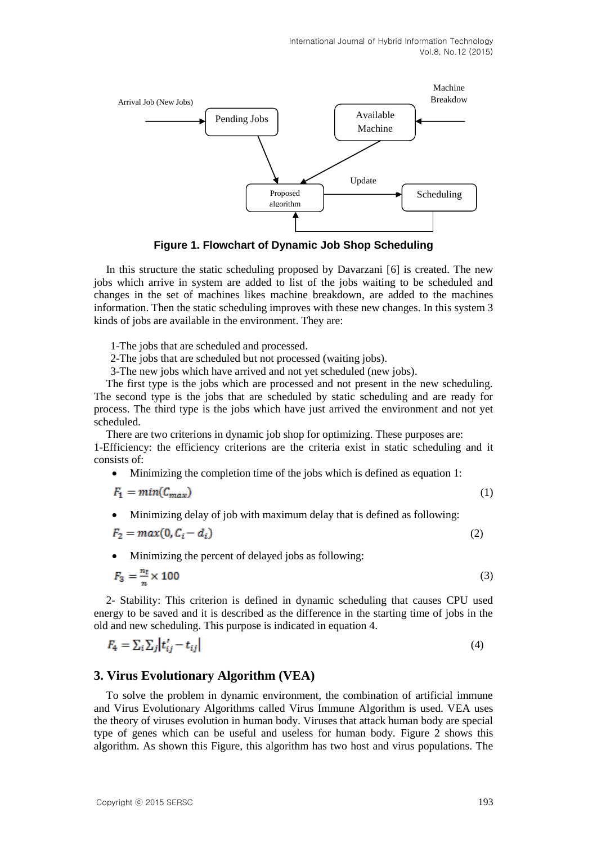

**Figure 1. Flowchart of Dynamic Job Shop Scheduling**

In this structure the static scheduling proposed by Davarzani [6] is created. The new jobs which arrive in system are added to list of the jobs waiting to be scheduled and changes in the set of machines likes machine breakdown, are added to the machines information. Then the static scheduling improves with these new changes. In this system 3 kinds of jobs are available in the environment. They are:

1-The jobs that are scheduled and processed.

2-The jobs that are scheduled but not processed (waiting jobs).

3-The new jobs which have arrived and not yet scheduled (new jobs).

The first type is the jobs which are processed and not present in the new scheduling. The second type is the jobs that are scheduled by static scheduling and are ready for process. The third type is the jobs which have just arrived the environment and not yet scheduled.

There are two criterions in dynamic job shop for optimizing. These purposes are:

1-Efficiency: the efficiency criterions are the criteria exist in static scheduling and it consists of:

• Minimizing the completion time of the jobs which is defined as equation 1:

$$
F_1 = min(C_{max})
$$
 (1)

Minimizing delay of job with maximum delay that is defined as following:

$$
F_2 = max(0, C_i - d_i) \tag{2}
$$

Minimizing the percent of delayed jobs as following:

$$
F_3 = \frac{n_t}{n} \times 100\tag{3}
$$

2- Stability: This criterion is defined in dynamic scheduling that causes CPU used energy to be saved and it is described as the difference in the starting time of jobs in the old and new scheduling. This purpose is indicated in equation 4.

$$
F_4 = \sum_i \sum_j \left| t'_{ij} - t_{ij} \right| \tag{4}
$$

## **3. Virus Evolutionary Algorithm (VEA)**

To solve the problem in dynamic environment, the combination of artificial immune and Virus Evolutionary Algorithms called Virus Immune Algorithm is used. VEA uses the theory of viruses evolution in human body. Viruses that attack human body are special type of genes which can be useful and useless for human body. Figure 2 shows this algorithm. As shown this Figure, this algorithm has two host and virus populations. The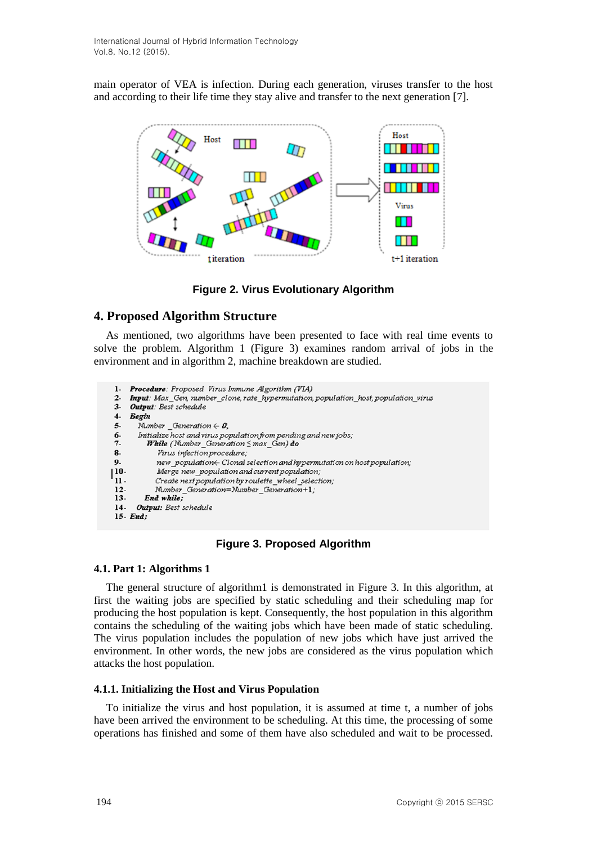main operator of VEA is infection. During each generation, viruses transfer to the host and according to their life time they stay alive and transfer to the next generation [7].



**Figure 2. Virus Evolutionary Algorithm**

## **4. Proposed Algorithm Structure**

As mentioned, two algorithms have been presented to face with real time events to solve the problem. Algorithm 1 (Figure 3) examines random arrival of jobs in the environment and in algorithm 2, machine breakdown are studied.

```
Procedure: Proposed Virus Immune Algorithm (VIA)
\mathbf{1}2 -Input: Max_Gen, number_clone, rate_hypermutation, population_host, population_virus
    Output: Best schedule
3 -4-Begin
5-Number Generation \in \theta.
6-
       Initialize host and virus population from pending and new jobs;
7 -While (Number_Generation Smax_Gen) do
8-Virus infection procedure;
9.
            new_population< Clonal selection and hypermutation on host population;
| 10-
            Merge new_population and current population;
11 -Create next population by roulette_wheel_selection;
12-Number Generation=Number Generation+1;
13-End while:
      Output: Best schedule
14-15- End;
```
**Figure 3. Proposed Algorithm**

## **4.1. Part 1: Algorithms 1**

The general structure of algorithm1 is demonstrated in Figure 3. In this algorithm, at first the waiting jobs are specified by static scheduling and their scheduling map for producing the host population is kept. Consequently, the host population in this algorithm contains the scheduling of the waiting jobs which have been made of static scheduling. The virus population includes the population of new jobs which have just arrived the environment. In other words, the new jobs are considered as the virus population which attacks the host population.

## **4.1.1. Initializing the Host and Virus Population**

To initialize the virus and host population, it is assumed at time t, a number of jobs have been arrived the environment to be scheduling. At this time, the processing of some operations has finished and some of them have also scheduled and wait to be processed.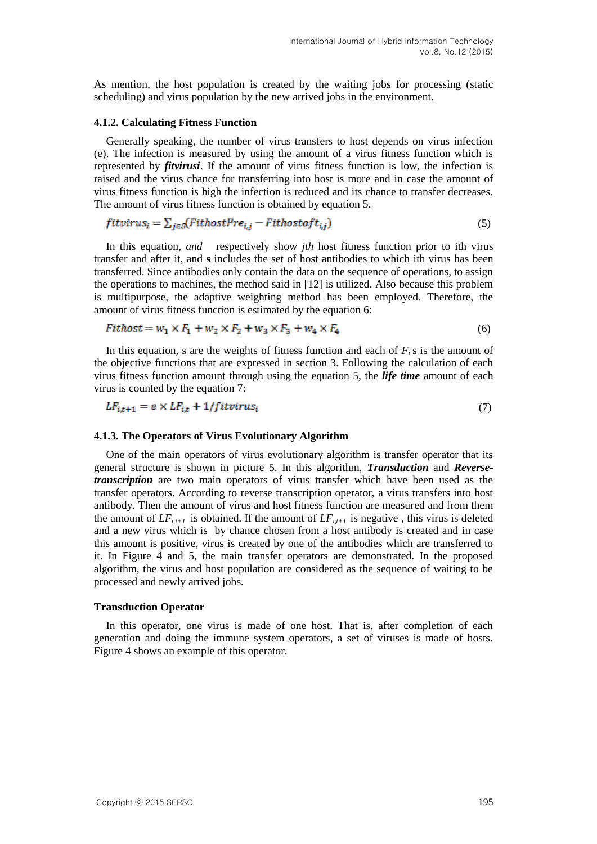As mention, the host population is created by the waiting jobs for processing (static scheduling) and virus population by the new arrived jobs in the environment.

#### **4.1.2. Calculating Fitness Function**

Generally speaking, the number of virus transfers to host depends on virus infection (e). The infection is measured by using the amount of a virus fitness function which is represented by *fitvirusi*. If the amount of virus fitness function is low, the infection is raised and the virus chance for transferring into host is more and in case the amount of virus fitness function is high the infection is reduced and its chance to transfer decreases. The amount of virus fitness function is obtained by equation 5.

$$
fitvirus_i = \sum_{j \in S} (FithostPre_{i,j} - Fithostaff_{i,j})
$$
\n
$$
(5)
$$

In this equation, *and* respectively show *jth* host fitness function prior to ith virus transfer and after it, and **s** includes the set of host antibodies to which ith virus has been transferred. Since antibodies only contain the data on the sequence of operations, to assign the operations to machines, the method said in [12] is utilized. Also because this problem is multipurpose, the adaptive weighting method has been employed. Therefore, the amount of virus fitness function is estimated by the equation 6:

$$
Fithost = w_1 \times F_1 + w_2 \times F_2 + w_3 \times F_3 + w_4 \times F_4
$$
 (6)

In this equation, s are the weights of fitness function and each of  $F_i$  is the amount of the objective functions that are expressed in section 3. Following the calculation of each virus fitness function amount through using the equation 5, the *life time* amount of each virus is counted by the equation 7:

$$
LF_{i,t+1} = e \times LF_{i,t} + 1/fitvirus_i
$$
\n<sup>(7)</sup>

#### **4.1.3. The Operators of Virus Evolutionary Algorithm**

One of the main operators of virus evolutionary algorithm is transfer operator that its general structure is shown in picture 5. In this algorithm, *Transduction* and *Reversetranscription* are two main operators of virus transfer which have been used as the transfer operators. According to reverse transcription operator, a virus transfers into host antibody. Then the amount of virus and host fitness function are measured and from them the amount of  $LF_{i,t+1}$  is obtained. If the amount of  $LF_{i,t+1}$  is negative, this virus is deleted and a new virus which is by chance chosen from a host antibody is created and in case this amount is positive, virus is created by one of the antibodies which are transferred to it. In Figure 4 and 5, the main transfer operators are demonstrated. In the proposed algorithm, the virus and host population are considered as the sequence of waiting to be processed and newly arrived jobs.

#### **Transduction Operator**

In this operator, one virus is made of one host. That is, after completion of each generation and doing the immune system operators, a set of viruses is made of hosts. Figure 4 shows an example of this operator.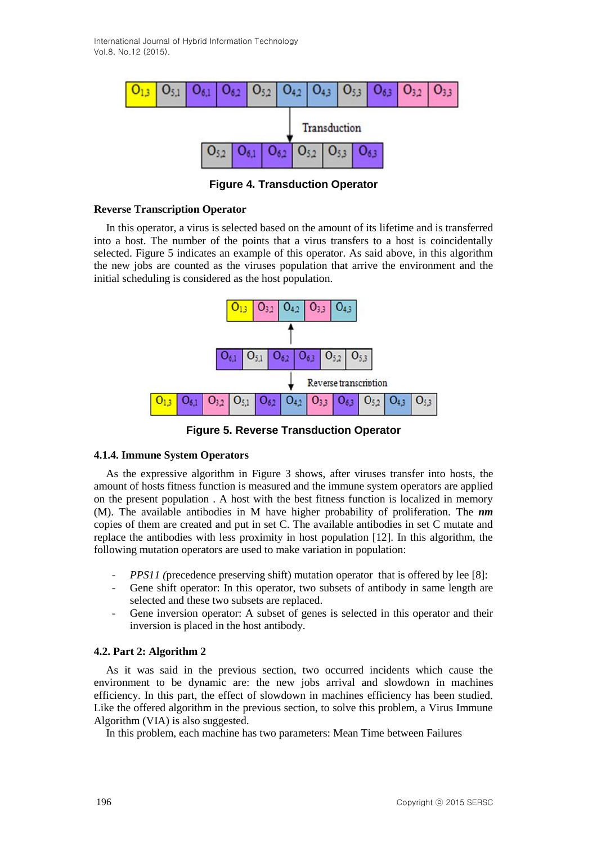International Journal of Hybrid Information Technology Vol.8, No.12 (2015).



**Figure 4. Transduction Operator**

#### **Reverse Transcription Operator**

In this operator, a virus is selected based on the amount of its lifetime and is transferred into a host. The number of the points that a virus transfers to a host is coincidentally selected. Figure 5 indicates an example of this operator. As said above, in this algorithm the new jobs are counted as the viruses population that arrive the environment and the initial scheduling is considered as the host population.



**Figure 5. Reverse Transduction Operator**

#### **4.1.4. Immune System Operators**

As the expressive algorithm in Figure 3 shows, after viruses transfer into hosts, the amount of hosts fitness function is measured and the immune system operators are applied on the present population . A host with the best fitness function is localized in memory (M). The available antibodies in M have higher probability of proliferation. The *nm* copies of them are created and put in set C. The available antibodies in set C mutate and replace the antibodies with less proximity in host population [12]. In this algorithm, the following mutation operators are used to make variation in population:

- *PPS11 (*precedence preserving shift) mutation operator that is offered by lee [8]:
- Gene shift operator: In this operator, two subsets of antibody in same length are selected and these two subsets are replaced.
- Gene inversion operator: A subset of genes is selected in this operator and their inversion is placed in the host antibody.

## **4.2. Part 2: Algorithm 2**

As it was said in the previous section, two occurred incidents which cause the environment to be dynamic are: the new jobs arrival and slowdown in machines efficiency. In this part, the effect of slowdown in machines efficiency has been studied. Like the offered algorithm in the previous section, to solve this problem, a Virus Immune Algorithm (VIA) is also suggested.

In this problem, each machine has two parameters: Mean Time between Failures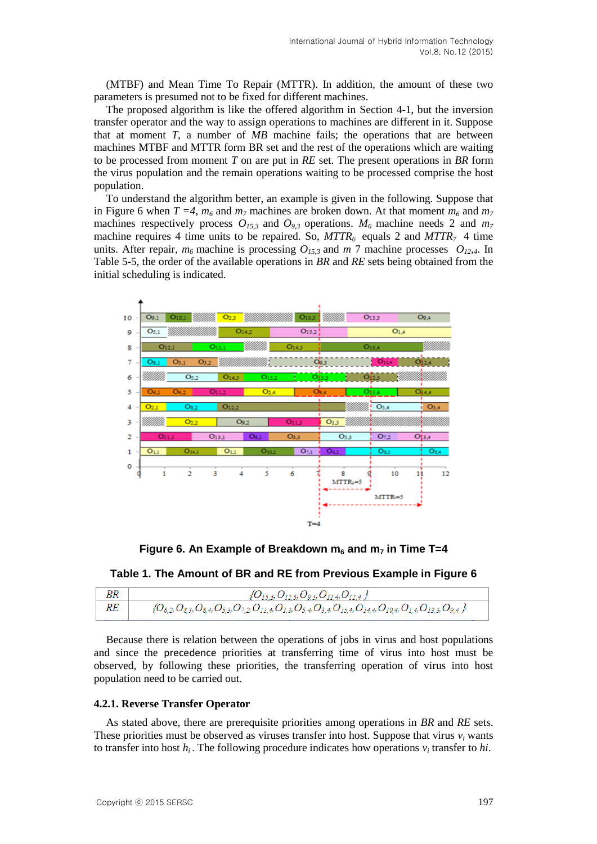(MTBF) and Mean Time To Repair (MTTR). In addition, the amount of these two parameters is presumed not to be fixed for different machines.

The proposed algorithm is like the offered algorithm in Section 4-1, but the inversion transfer operator and the way to assign operations to machines are different in it. Suppose that at moment *T*, a number of *MB* machine fails; the operations that are between machines MTBF and MTTR form BR set and the rest of the operations which are waiting to be processed from moment *T* on are put in *RE* set. The present operations in *BR* form the virus population and the remain operations waiting to be processed comprise the host population.

To understand the algorithm better, an example is given in the following. Suppose that in Figure 6 when  $T = 4$ ,  $m_6$  and  $m_7$  machines are broken down. At that moment  $m_6$  and  $m_7$ machines respectively process  $O_{15,3}$  and  $O_{9,3}$  operations.  $M_6$  machine needs 2 and  $m_7$ machine requires 4 time units to be repaired. So,  $MTTR_6$  equals 2 and  $MTTR_7$  4 time units. After repair,  $m_6$  machine is processing  $O_{15,3}$  and  $m$  7 machine processes  $O_{12,4}$ . In Table 5-5, the order of the available operations in *BR* and *RE* sets being obtained from the initial scheduling is indicated.



**Figure** 6. An Example of Breakdown  $m_6$  and  $m_7$  in Time T=4

**Table 1. The Amount of BR and RE from Previous Example in Figure 6**

| BR | ${O_{15,3}, O_{12,3}, O_{9,3}, O_{11,4}, O_{12,4}}$                                                                                              |
|----|--------------------------------------------------------------------------------------------------------------------------------------------------|
| RE | $\{O_{6,2}, O_{8,3}, O_{8,4}, O_{5,3}, O_{7,2}, O_{13,4}, O_{1,3}, O_{5,4}, O_{3,4}, O_{15,4}, O_{14,4}, O_{10,4}, O_{1,4}, O_{13,3}, O_{9,4}\}$ |

Because there is relation between the operations of jobs in virus and host populations and since the precedence priorities at transferring time of virus into host must be observed, by following these priorities, the transferring operation of virus into host population need to be carried out.

#### **4.2.1. Reverse Transfer Operator**

As stated above, there are prerequisite priorities among operations in *BR* and *RE* sets. These priorities must be observed as viruses transfer into host. Suppose that virus  $v_i$  wants to transfer into host  $h_i$ . The following procedure indicates how operations  $v_i$  transfer to  $hi$ .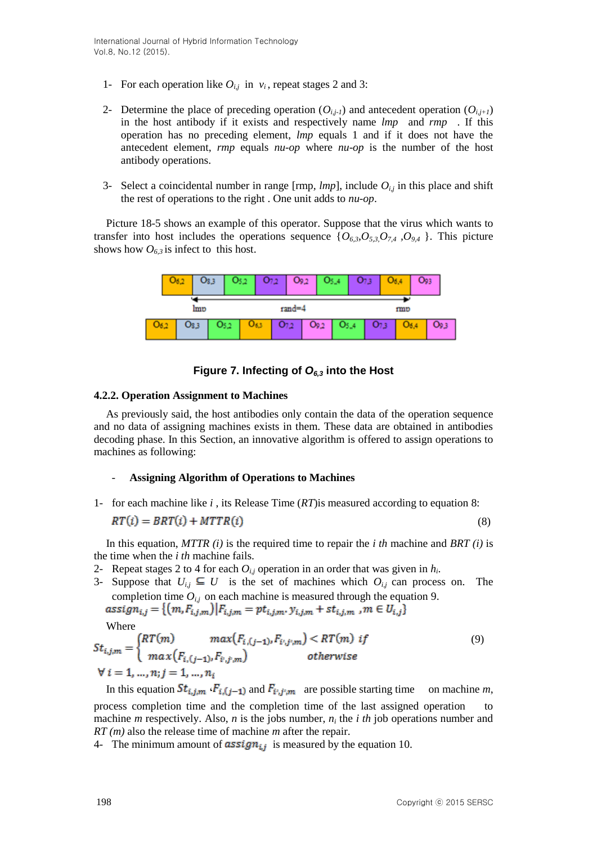- 1- For each operation like  $O_{i,j}$  in  $v_i$ , repeat stages 2 and 3:
- 2- Determine the place of preceding operation  $(O_{i,j-1})$  and antecedent operation  $(O_{i,j+1})$ in the host antibody if it exists and respectively name *lmp* and *rmp* . If this operation has no preceding element, *lmp* equals 1 and if it does not have the antecedent element, *rmp* equals *nu-op* where *nu-op* is the number of the host antibody operations.
- 3- Select a coincidental number in range  $[rmp, *lmp*],$  include  $O_{i,j}$  in this place and shift the rest of operations to the right . One unit adds to *nu-op*.

Picture 18-5 shows an example of this operator. Suppose that the virus which wants to transfer into host includes the operations sequence  $\{O_{6,3}, O_{5,3}, O_{7,4}, O_{9,4}\}\$ . This picture shows how  $O_{6,3}$  is infect to this host.



## **Figure 7. Infecting of** *O6,3* **into the Host**

## **4.2.2. Operation Assignment to Machines**

As previously said, the host antibodies only contain the data of the operation sequence and no data of assigning machines exists in them. These data are obtained in antibodies decoding phase. In this Section, an innovative algorithm is offered to assign operations to machines as following:

## - **Assigning Algorithm of Operations to Machines**

1- for each machine like *i* , its Release Time (*RT*)is measured according to equation 8:

$$
RT(i) = BRT(i) + MTTR(i)
$$
\n(8)

In this equation, *MTTR (i)* is the required time to repair the *i th* machine and *BRT (i)* is the time when the *i th* machine fails.

- 2- Repeat stages 2 to 4 for each  $O_{i,j}$  operation in an order that was given in  $h_i$ .
- 3- Suppose that  $U_{i,j} \subseteq U$  is the set of machines which  $O_{i,j}$  can process on. The completion time  $O_{i,j}$  on each machine is measured through the equation 9.<br>assign<sub>i,j</sub> = { $\{(m, F_{i,j,m}) | F_{i,j,m} = pt_{i,j,m}, v_{i,j,m} + st_{i,j,m} , m \in U_{i,j}\}$

Where

$$
St_{i,j,m} = \begin{cases} RT(m) & max(F_{i,(j-1)}, F_{i',j',m}) < RT(m) \text{ if} \\ max(F_{i,(j-1)}, F_{i',j',m}) & otherwise \end{cases}
$$
(9)  
\n
$$
\forall i = 1, ..., n; j = 1, ..., n_i
$$

In this equation  $St_{i,j,m}$   $\cdot F_{i,(j-1)}$  and  $F_{i',j',m}$  are possible starting time on machine *m*, process completion time and the completion time of the last assigned operation to machine *m* respectively. Also, *n* is the jobs number,  $n_i$  the *i th* job operations number and *RT (m)* also the release time of machine *m* after the repair.

4- The minimum amount of  $\frac{assign_{i,j}}{$  is measured by the equation 10.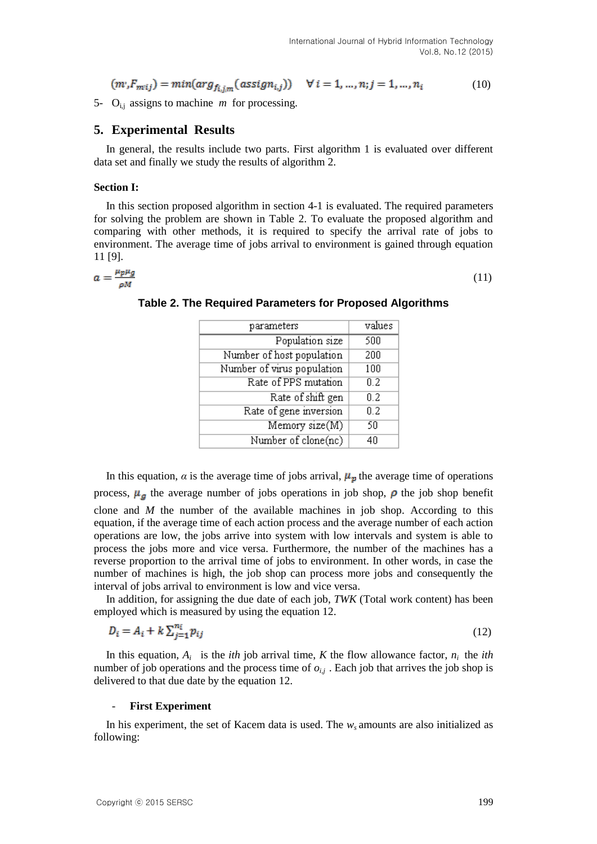$$
(m'_{m'i}) = min(arg_{f_{i,im}}(assign_{i,j})) \quad \forall i = 1, ..., n; j = 1, ..., n_i
$$
 (10)

5- O<sub>i,j</sub> assigns to machine *m* for processing.

### **5. Experimental Results**

In general, the results include two parts. First algorithm 1 is evaluated over different data set and finally we study the results of algorithm 2.

#### **Section I:**

In this section proposed algorithm in section 4-1 is evaluated. The required parameters for solving the problem are shown in Table 2. To evaluate the proposed algorithm and comparing with other methods, it is required to specify the arrival rate of jobs to environment. The average time of jobs arrival to environment is gained through equation 11 [9].

$$
a=\frac{\mu_p\mu_g}{\rho M}
$$

| parameters                 | values |  |
|----------------------------|--------|--|
| Population size            | 500    |  |
| Number of host population  | 200    |  |
| Number of virus population | 100    |  |
| Rate of PPS mutation       | 0.2    |  |
| Rate of shift gen          | 0.2    |  |
| Rate of gene inversion     | 0.2    |  |
| Memory size(M)             | 50     |  |
| Number of clone(nc)        | 40     |  |

**Table 2. The Required Parameters for Proposed Algorithms**

(11)

In this equation, *a* is the average time of jobs arrival,  $\mu_{\nu}$  the average time of operations process,  $\mu_{g}$  the average number of jobs operations in job shop,  $\rho$  the job shop benefit clone and *M* the number of the available machines in job shop. According to this equation, if the average time of each action process and the average number of each action operations are low, the jobs arrive into system with low intervals and system is able to process the jobs more and vice versa. Furthermore, the number of the machines has a reverse proportion to the arrival time of jobs to environment. In other words, in case the number of machines is high, the job shop can process more jobs and consequently the interval of jobs arrival to environment is low and vice versa.

In addition, for assigning the due date of each job, *TWK* (Total work content) has been employed which is measured by using the equation 12.

$$
D_i = A_i + k \sum_{j=1}^{n_i} p_{ij} \tag{12}
$$

In this equation,  $A_i$  is the *ith* job arrival time, *K* the flow allowance factor,  $n_i$  the *ith* number of job operations and the process time of  $o_{i,j}$ . Each job that arrives the job shop is delivered to that due date by the equation 12.

#### - **First Experiment**

In his experiment, the set of Kacem data is used. The *ws* amounts are also initialized as following: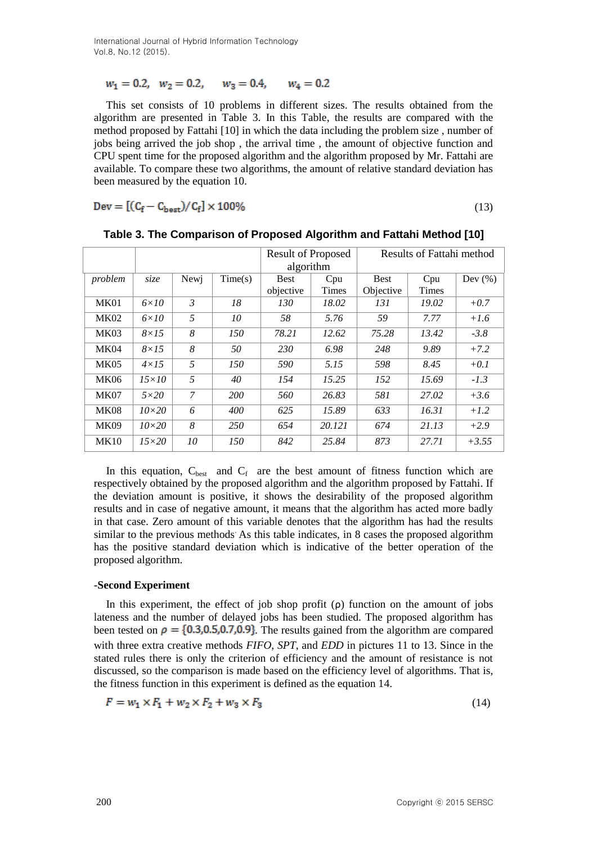International Journal of Hybrid Information Technology Vol.8, No.12 (2015).

$$
w_1 = 0.2
$$
,  $w_2 = 0.2$ ,  $w_3 = 0.4$ ,  $w_4 = 0.2$ 

This set consists of 10 problems in different sizes. The results obtained from the algorithm are presented in Table 3. In this Table, the results are compared with the method proposed by Fattahi [10] in which the data including the problem size , number of jobs being arrived the job shop , the arrival time , the amount of objective function and CPU spent time for the proposed algorithm and the algorithm proposed by Mr. Fattahi are available. To compare these two algorithms, the amount of relative standard deviation has been measured by the equation 10.

$$
Dev = [(C_f - C_{best})/C_f] \times 100\% \tag{13}
$$

|             |              |                |            | <b>Result of Proposed</b> |              | Results of Fattahi method |       |             |
|-------------|--------------|----------------|------------|---------------------------|--------------|---------------------------|-------|-------------|
|             |              |                |            | algorithm                 |              |                           |       |             |
| problem     | size         | Newj           | Time(s)    | <b>Best</b>               | Cpu          | <b>Best</b>               | Cpu   | Dev $(\% )$ |
|             |              |                |            | objective                 | <b>Times</b> | Objective                 | Times |             |
| <b>MK01</b> | $6\times10$  | $\mathfrak{Z}$ | 18         | 130                       | 18.02        | 131                       | 19.02 | $+0.7$      |
| <b>MK02</b> | $6\times10$  | 5              | 10         | 58                        | 5.76         | 59                        | 7.77  | $+1.6$      |
| MK03        | $8\times15$  | 8              | 150        | 78.21                     | 12.62        | 75.28                     | 13.42 | $-3.8$      |
| MK04        | $8\times15$  | 8              | 50         | 230                       | 6.98         | 248                       | 9.89  | $+7.2$      |
| MK05        | $4\times15$  | 5              | 150        | 590                       | 5.15         | 598                       | 8.45  | $+0.1$      |
| <b>MK06</b> | $15\times10$ | 5              | 40         | 154                       | 15.25        | 152                       | 15.69 | $-1.3$      |
| MK07        | $5\times20$  | 7              | <i>200</i> | 560                       | 26.83        | 581                       | 27.02 | $+3.6$      |
| <b>MK08</b> | $10\times20$ | 6              | 400        | 625                       | 15.89        | 633                       | 16.31 | $+1.2$      |
| <b>MK09</b> | $10\times20$ | 8              | 250        | 654                       | 20.121       | 674                       | 21.13 | $+2.9$      |
| MK10        | $15\times20$ | 10             | 150        | 842                       | 25.84        | 873                       | 27.71 | $+3.55$     |

**Table 3. The Comparison of Proposed Algorithm and Fattahi Method [10]**

In this equation,  $C_{best}$  and  $C_f$  are the best amount of fitness function which are respectively obtained by the proposed algorithm and the algorithm proposed by Fattahi. If the deviation amount is positive, it shows the desirability of the proposed algorithm results and in case of negative amount, it means that the algorithm has acted more badly in that case. Zero amount of this variable denotes that the algorithm has had the results similar to the previous methods. As this table indicates, in 8 cases the proposed algorithm has the positive standard deviation which is indicative of the better operation of the proposed algorithm.

## **-Second Experiment**

In this experiment, the effect of job shop profit  $(\rho)$  function on the amount of jobs lateness and the number of delayed jobs has been studied. The proposed algorithm has been tested on  $\rho = \{0.3, 0.5, 0.7, 0.9\}$ . The results gained from the algorithm are compared with three extra creative methods *FIFO*, *SPT*, and *EDD* in pictures 11 to 13. Since in the stated rules there is only the criterion of efficiency and the amount of resistance is not discussed, so the comparison is made based on the efficiency level of algorithms. That is, the fitness function in this experiment is defined as the equation 14.

$$
F = w_1 \times F_1 + w_2 \times F_2 + w_3 \times F_3 \tag{14}
$$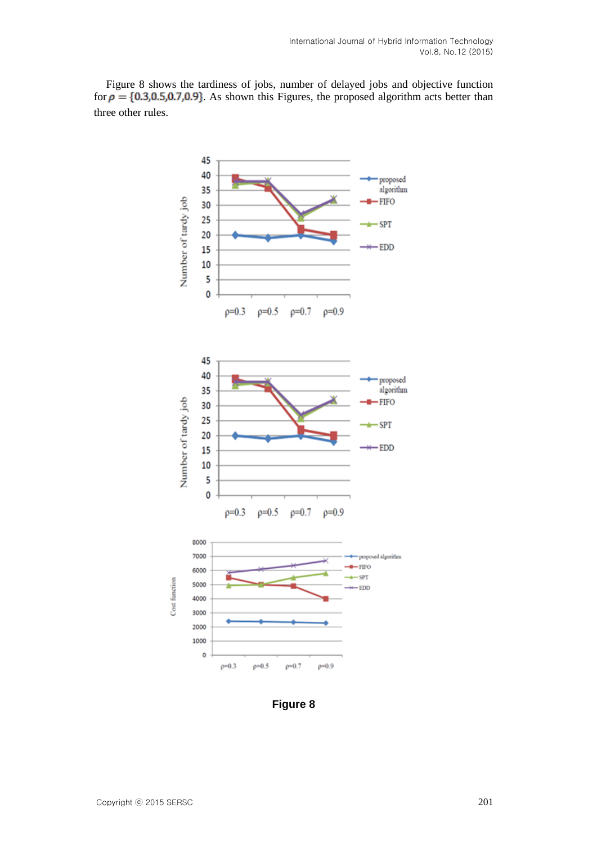Figure 8 shows the tardiness of jobs, number of delayed jobs and objective function for  $\rho = \{0.3, 0.5, 0.7, 0.9\}$ . As shown this Figures, the proposed algorithm acts better than three other rules.



**Figure 8**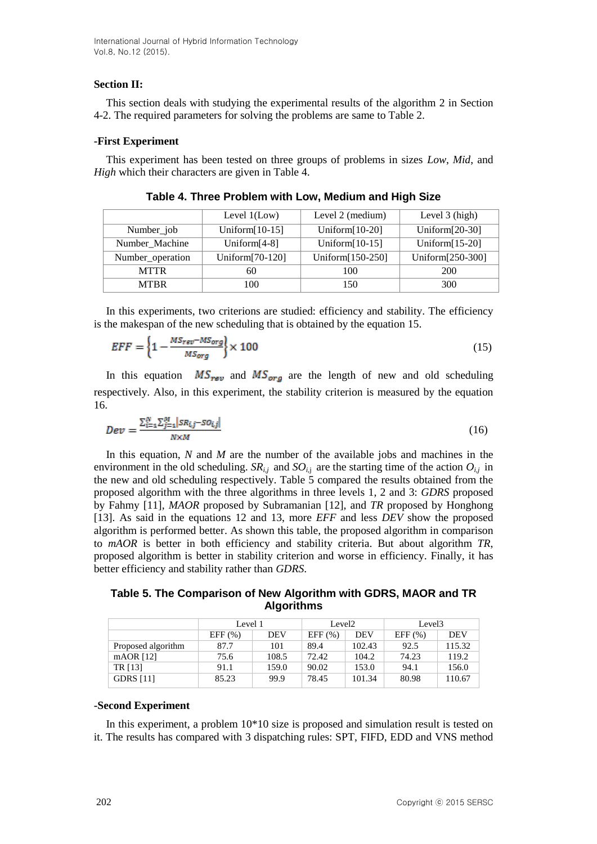## **Section II:**

This section deals with studying the experimental results of the algorithm 2 in Section 4-2. The required parameters for solving the problems are same to Table 2.

## **-First Experiment**

This experiment has been tested on three groups of problems in sizes *Low*, *Mid*, and *High* which their characters are given in Table 4.

|                  | Level $1$ (Low)   | Level 2 (medium)  | Level $3$ (high)  |  |
|------------------|-------------------|-------------------|-------------------|--|
| Number_job       | Uniform $[10-15]$ | Uniform $[10-20]$ | Uniform $[20-30]$ |  |
| Number_Machine   | Uniform $[4-8]$   | Uniform $[10-15]$ | Uniform $[15-20]$ |  |
| Number_operation | Uniform[70-120]   | Uniform[150-250]  | Uniform[250-300]  |  |
| <b>MTTR</b>      | 60                | 100               | 200               |  |
| <b>MTBR</b>      | 100               | 150               | 300               |  |

**Table 4. Three Problem with Low, Medium and High Size**

In this experiments, two criterions are studied: efficiency and stability. The efficiency is the makespan of the new scheduling that is obtained by the equation 15.

$$
EFF = \left\{1 - \frac{MS_{rev} - MS_{org}}{MS_{org}}\right\} \times 100\tag{15}
$$

In this equation  $MS_{rev}$  and  $MS_{org}$  are the length of new and old scheduling respectively. Also, in this experiment, the stability criterion is measured by the equation 16.

$$
Dev = \frac{\sum_{i=1}^{N} \sum_{j=1}^{M} |SR_{i,j} - SO_{i,j}|}{N \times M}
$$
\n(16)

In this equation, *N* and *M* are the number of the available jobs and machines in the environment in the old scheduling.  $SR_{i,j}$  and  $SO_{i,j}$  are the starting time of the action  $O_{i,j}$  in the new and old scheduling respectively. Table 5 compared the results obtained from the proposed algorithm with the three algorithms in three levels 1, 2 and 3: *GDRS* proposed by Fahmy [11], *MAOR* proposed by Subramanian [12], and *TR* proposed by Honghong [13]. As said in the equations 12 and 13, more *EFF* and less *DEV* show the proposed algorithm is performed better. As shown this table, the proposed algorithm in comparison to *mAOR* is better in both efficiency and stability criteria. But about algorithm *TR*, proposed algorithm is better in stability criterion and worse in efficiency. Finally, it has better efficiency and stability rather than *GDRS*.

**Table 5. The Comparison of New Algorithm with GDRS, MAOR and TR Algorithms**

|                    | Level 1 |            | Level <sub>2</sub> |            | Level <sub>3</sub> |            |
|--------------------|---------|------------|--------------------|------------|--------------------|------------|
|                    | EFF(%)  | <b>DEV</b> | EFF(%)             | <b>DEV</b> | EFF $(\% )$        | <b>DEV</b> |
| Proposed algorithm | 87.7    | 101        | 89.4               | 102.43     | 92.5               | 115.32     |
| $mAOR$ [12]        | 75.6    | 108.5      | 72.42              | 104.2      | 74.23              | 119.2      |
| TR [13]            | 91.1    | 159.0      | 90.02              | 153.0      | 94.1               | 156.0      |
| <b>GDRS</b> [11]   | 85.23   | 99.9       | 78.45              | 101.34     | 80.98              | 110.67     |

#### **-Second Experiment**

In this experiment, a problem 10\*10 size is proposed and simulation result is tested on it. The results has compared with 3 dispatching rules: SPT, FIFD, EDD and VNS method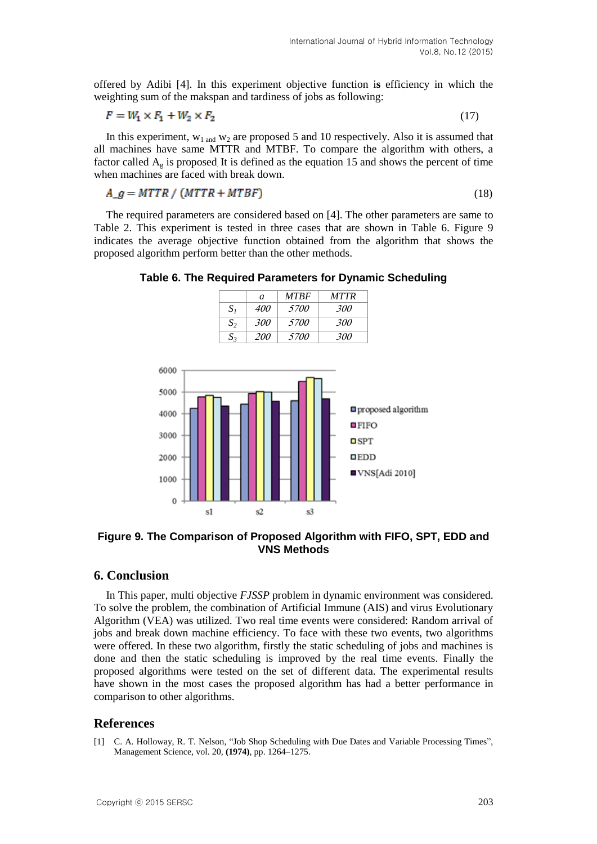offered by Adibi [4]. In this experiment objective function i**s** efficiency in which the weighting sum of the makspan and tardiness of jobs as following:

$$
F = W_1 \times F_1 + W_2 \times F_2 \tag{17}
$$

In this experiment,  $w_1$  and  $w_2$  are proposed 5 and 10 respectively. Also it is assumed that all machines have same MTTR and MTBF. To compare the algorithm with others, a factor called  $A_{\alpha}$  is proposed. It is defined as the equation 15 and shows the percent of time when machines are faced with break down.

$$
A_{-}g = MTTR / (MTTR + MTBF)
$$
\n<sup>(18)</sup>

The required parameters are considered based on [4]. The other parameters are same to Table 2. This experiment is tested in three cases that are shown in Table 6. Figure 9 indicates the average objective function obtained from the algorithm that shows the proposed algorithm perform better than the other methods.



**Table 6. The Required Parameters for Dynamic Scheduling**

**Figure 9. The Comparison of Proposed Algorithm with FIFO, SPT, EDD and VNS Methods**

## **6. Conclusion**

In This paper, multi objective *FJSSP* problem in dynamic environment was considered. To solve the problem, the combination of Artificial Immune (AIS) and virus Evolutionary Algorithm (VEA) was utilized. Two real time events were considered: Random arrival of jobs and break down machine efficiency. To face with these two events, two algorithms were offered. In these two algorithm, firstly the static scheduling of jobs and machines is done and then the static scheduling is improved by the real time events. Finally the proposed algorithms were tested on the set of different data. The experimental results have shown in the most cases the proposed algorithm has had a better performance in comparison to other algorithms.

## **References**

[1] C. A. Holloway, R. T. Nelson, "Job Shop Scheduling with Due Dates and Variable Processing Times", Management Science, vol. 20, **(1974)**, pp. 1264–1275.